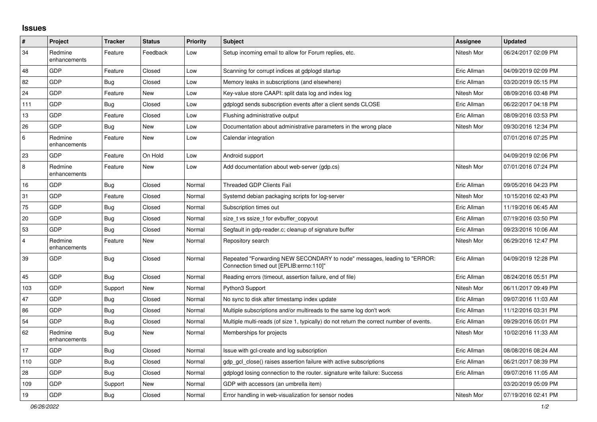## **Issues**

| $\vert$ #      | Project                 | <b>Tracker</b> | <b>Status</b> | <b>Priority</b> | <b>Subject</b>                                                                                                      | <b>Assignee</b> | <b>Updated</b>      |
|----------------|-------------------------|----------------|---------------|-----------------|---------------------------------------------------------------------------------------------------------------------|-----------------|---------------------|
| 34             | Redmine<br>enhancements | Feature        | Feedback      | Low             | Setup incoming email to allow for Forum replies, etc.                                                               | Nitesh Mor      | 06/24/2017 02:09 PM |
| 48             | GDP                     | Feature        | Closed        | Low             | Scanning for corrupt indices at gdplogd startup                                                                     | Eric Allman     | 04/09/2019 02:09 PM |
| 82             | GDP                     | Bug            | Closed        | Low             | Memory leaks in subscriptions (and elsewhere)                                                                       | Eric Allman     | 03/20/2019 05:15 PM |
| 24             | GDP                     | Feature        | New           | Low             | Key-value store CAAPI: split data log and index log                                                                 | Nitesh Mor      | 08/09/2016 03:48 PM |
| 111            | GDP                     | Bug            | Closed        | Low             | gdplogd sends subscription events after a client sends CLOSE                                                        | Eric Allman     | 06/22/2017 04:18 PM |
| 13             | GDP                     | Feature        | Closed        | Low             | Flushing administrative output                                                                                      | Eric Allman     | 08/09/2016 03:53 PM |
| 26             | GDP                     | Bug            | New           | Low             | Documentation about administrative parameters in the wrong place                                                    | Nitesh Mor      | 09/30/2016 12:34 PM |
| 6              | Redmine<br>enhancements | Feature        | New           | Low             | Calendar integration                                                                                                |                 | 07/01/2016 07:25 PM |
| 23             | GDP                     | Feature        | On Hold       | Low             | Android support                                                                                                     |                 | 04/09/2019 02:06 PM |
| $\overline{8}$ | Redmine<br>enhancements | Feature        | New           | Low             | Add documentation about web-server (gdp.cs)                                                                         | Nitesh Mor      | 07/01/2016 07:24 PM |
| 16             | GDP                     | Bug            | Closed        | Normal          | <b>Threaded GDP Clients Fail</b>                                                                                    | Eric Allman     | 09/05/2016 04:23 PM |
| 31             | GDP                     | Feature        | Closed        | Normal          | Systemd debian packaging scripts for log-server                                                                     | Nitesh Mor      | 10/15/2016 02:43 PM |
| 75             | GDP                     | <b>Bug</b>     | Closed        | Normal          | Subscription times out                                                                                              | Eric Allman     | 11/19/2016 06:45 AM |
| 20             | GDP                     | Bug            | Closed        | Normal          | size t vs ssize t for evbuffer copyout                                                                              | Eric Allman     | 07/19/2016 03:50 PM |
| 53             | <b>GDP</b>              | Bug            | Closed        | Normal          | Segfault in gdp-reader.c; cleanup of signature buffer                                                               | Eric Allman     | 09/23/2016 10:06 AM |
| $\overline{4}$ | Redmine<br>enhancements | Feature        | New           | Normal          | Repository search                                                                                                   | Nitesh Mor      | 06/29/2016 12:47 PM |
| 39             | <b>GDP</b>              | Bug            | Closed        | Normal          | Repeated "Forwarding NEW SECONDARY to node" messages, leading to "ERROR:<br>Connection timed out [EPLIB:errno:110]" | Eric Allman     | 04/09/2019 12:28 PM |
| 45             | GDP                     | Bug            | Closed        | Normal          | Reading errors (timeout, assertion failure, end of file)                                                            | Eric Allman     | 08/24/2016 05:51 PM |
| 103            | GDP                     | Support        | New           | Normal          | Python3 Support                                                                                                     | Nitesh Mor      | 06/11/2017 09:49 PM |
| 47             | GDP                     | <b>Bug</b>     | Closed        | Normal          | No sync to disk after timestamp index update                                                                        | Eric Allman     | 09/07/2016 11:03 AM |
| 86             | GDP                     | Bug            | Closed        | Normal          | Multiple subscriptions and/or multireads to the same log don't work                                                 | Eric Allman     | 11/12/2016 03:31 PM |
| 54             | GDP                     | Bug            | Closed        | Normal          | Multiple multi-reads (of size 1, typically) do not return the correct number of events.                             | Eric Allman     | 09/29/2016 05:01 PM |
| 62             | Redmine<br>enhancements | Bug            | New           | Normal          | Memberships for projects                                                                                            | Nitesh Mor      | 10/02/2016 11:33 AM |
| 17             | GDP                     | Bug            | Closed        | Normal          | Issue with gcl-create and log subscription                                                                          | Eric Allman     | 08/08/2016 08:24 AM |
| 110            | GDP                     | Bug            | Closed        | Normal          | gdp gcl close() raises assertion failure with active subscriptions                                                  | Eric Allman     | 06/21/2017 08:39 PM |
| 28             | GDP                     | Bug            | Closed        | Normal          | gdplogd losing connection to the router, signature write failure: Success                                           | Eric Allman     | 09/07/2016 11:05 AM |
| 109            | GDP                     | Support        | New           | Normal          | GDP with accessors (an umbrella item)                                                                               |                 | 03/20/2019 05:09 PM |
| 19             | GDP                     | Bug            | Closed        | Normal          | Error handling in web-visualization for sensor nodes                                                                | Nitesh Mor      | 07/19/2016 02:41 PM |